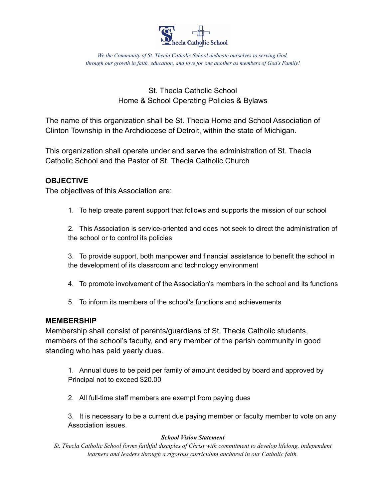

# St. Thecla Catholic School Home & School Operating Policies & Bylaws

The name of this organization shall be St. Thecla Home and School Association of Clinton Township in the Archdiocese of Detroit, within the state of Michigan.

This organization shall operate under and serve the administration of St. Thecla Catholic School and the Pastor of St. Thecla Catholic Church

## **OBJECTIVE**

The objectives of this Association are:

1. To help create parent support that follows and supports the mission of our school

2. This Association is service-oriented and does not seek to direct the administration of the school or to control its policies

3. To provide support, both manpower and financial assistance to benefit the school in the development of its classroom and technology environment

- 4. To promote involvement of the Association's members in the school and its functions
- 5. To inform its members of the school's functions and achievements

## **MEMBERSHIP**

Membership shall consist of parents/guardians of St. Thecla Catholic students, members of the school's faculty, and any member of the parish community in good standing who has paid yearly dues.

1. Annual dues to be paid per family of amount decided by board and approved by Principal not to exceed \$20.00

2. All full-time staff members are exempt from paying dues

3. It is necessary to be a current due paying member or faculty member to vote on any Association issues.

#### *School Vision Statement*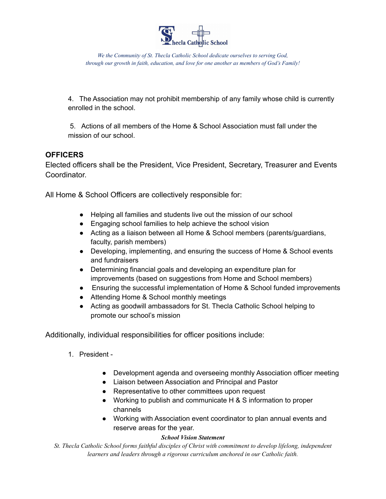

4. The Association may not prohibit membership of any family whose child is currently enrolled in the school.

5. Actions of all members of the Home & School Association must fall under the mission of our school.

## **OFFICERS**

Elected officers shall be the President, Vice President, Secretary, Treasurer and Events Coordinator.

All Home & School Officers are collectively responsible for:

- Helping all families and students live out the mission of our school
- Engaging school families to help achieve the school vision
- Acting as a liaison between all Home & School members (parents/quardians, faculty, parish members)
- Developing, implementing, and ensuring the success of Home & School events and fundraisers
- Determining financial goals and developing an expenditure plan for improvements (based on suggestions from Home and School members)
- Ensuring the successful implementation of Home & School funded improvements
- Attending Home & School monthly meetings
- Acting as goodwill ambassadors for St. Thecla Catholic School helping to promote our school's mission

Additionally, individual responsibilities for officer positions include:

- 1. President
	- Development agenda and overseeing monthly Association officer meeting
	- Liaison between Association and Principal and Pastor
	- Representative to other committees upon request
	- Working to publish and communicate H & S information to proper channels
	- Working with Association event coordinator to plan annual events and reserve areas for the year.

#### *School Vision Statement*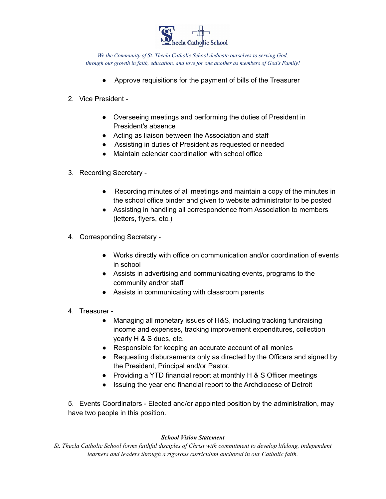

- Approve requisitions for the payment of bills of the Treasurer
- 2. Vice President
	- Overseeing meetings and performing the duties of President in President's absence
	- Acting as liaison between the Association and staff
	- Assisting in duties of President as requested or needed
	- Maintain calendar coordination with school office
- 3. Recording Secretary
	- Recording minutes of all meetings and maintain a copy of the minutes in the school office binder and given to website administrator to be posted
	- Assisting in handling all correspondence from Association to members (letters, flyers, etc.)
- 4. Corresponding Secretary
	- Works directly with office on communication and/or coordination of events in school
	- Assists in advertising and communicating events, programs to the community and/or staff
	- Assists in communicating with classroom parents
- 4. Treasurer
	- Managing all monetary issues of H&S, including tracking fundraising income and expenses, tracking improvement expenditures, collection yearly H & S dues, etc.
	- Responsible for keeping an accurate account of all monies
	- Requesting disbursements only as directed by the Officers and signed by the President, Principal and/or Pastor.
	- Providing a YTD financial report at monthly H & S Officer meetings
	- Issuing the year end financial report to the Archdiocese of Detroit

5. Events Coordinators - Elected and/or appointed position by the administration, may have two people in this position.

#### *School Vision Statement*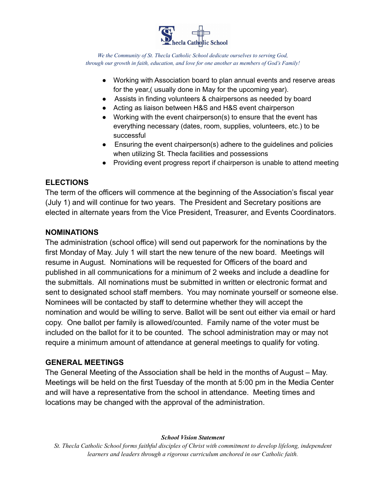

- Working with Association board to plan annual events and reserve areas for the year,( usually done in May for the upcoming year).
- Assists in finding volunteers & chairpersons as needed by board
- Acting as liaison between H&S and H&S event chairperson
- Working with the event chairperson(s) to ensure that the event has everything necessary (dates, room, supplies, volunteers, etc.) to be successful
- $\bullet$  Ensuring the event chairperson(s) adhere to the guidelines and policies when utilizing St. Thecla facilities and possessions
- Providing event progress report if chairperson is unable to attend meeting

## **ELECTIONS**

The term of the officers will commence at the beginning of the Association's fiscal year (July 1) and will continue for two years. The President and Secretary positions are elected in alternate years from the Vice President, Treasurer, and Events Coordinators.

## **NOMINATIONS**

The administration (school office) will send out paperwork for the nominations by the first Monday of May. July 1 will start the new tenure of the new board. Meetings will resume in August. Nominations will be requested for Officers of the board and published in all communications for a minimum of 2 weeks and include a deadline for the submittals. All nominations must be submitted in written or electronic format and sent to designated school staff members. You may nominate yourself or someone else. Nominees will be contacted by staff to determine whether they will accept the nomination and would be willing to serve. Ballot will be sent out either via email or hard copy. One ballot per family is allowed/counted. Family name of the voter must be included on the ballot for it to be counted. The school administration may or may not require a minimum amount of attendance at general meetings to qualify for voting.

## **GENERAL MEETINGS**

The General Meeting of the Association shall be held in the months of August – May. Meetings will be held on the first Tuesday of the month at 5:00 pm in the Media Center and will have a representative from the school in attendance. Meeting times and locations may be changed with the approval of the administration.

#### *School Vision Statement*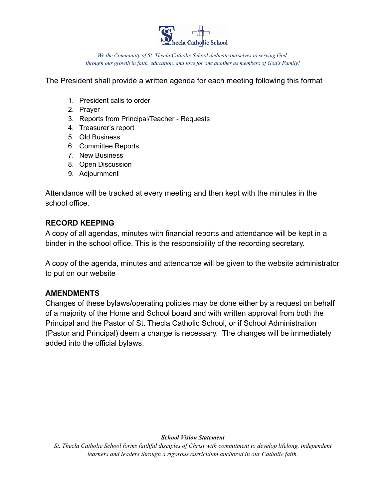

The President shall provide a written agenda for each meeting following this format

- 1. President calls to order
- 2. Prayer
- 3. Reports from Principal/Teacher Requests
- 4. Treasurer's report
- 5. Old Business
- 6. Committee Reports
- 7. New Business
- 8. Open Discussion
- 9. Adjournment

Attendance will be tracked at every meeting and then kept with the minutes in the school office.

## **RECORD KEEPING**

A copy of all agendas, minutes with financial reports and attendance will be kept in a binder in the school office. This is the responsibility of the recording secretary.

A copy of the agenda, minutes and attendance will be given to the website administrator to put on our website

## **AMENDMENTS**

Changes of these bylaws/operating policies may be done either by a request on behalf of a majority of the Home and School board and with written approval from both the Principal and the Pastor of St. Thecla Catholic School, or if School Administration (Pastor and Principal) deem a change is necessary. The changes will be immediately added into the official bylaws.

#### *School Vision Statement*